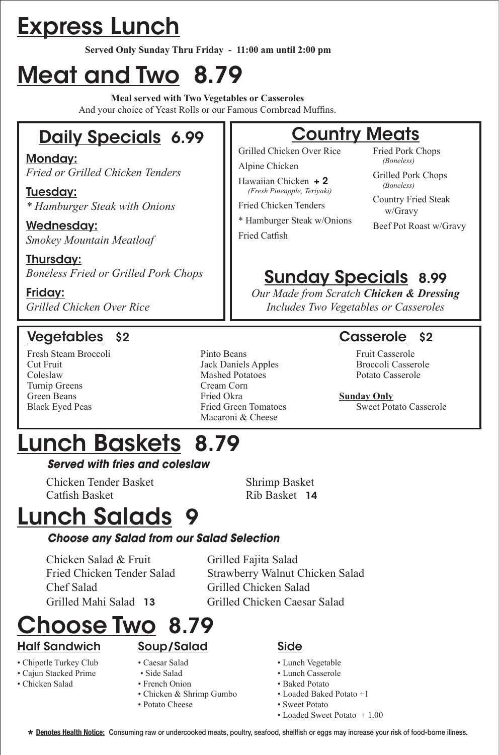# Express Lunch

**Served Only Sunday Thru Friday - 11:00 am until 2:00 pm**

# Meat and Two 8.79

**Meal served with Two Vegetables or Casseroles** And your choice of Yeast Rolls or our Famous Cornbread Muffins.

# Daily Specials 6.99

Monday: *Fried or Grilled Chicken Tenders*

Tuesday: *\* Hamburger Steak with Onions*

Wednesday: *Smokey Mountain Meatloaf*

Thursday: *Boneless Fried or Grilled Pork Chops*

Friday: *Grilled Chicken Over Rice* 

### Vegetables \$2 Casserole \$2

- Turnip Greens Cream Corn
- Fresh Steam Broccoli Pinto Beans Fruit Casserole Cut Fruit Jack Daniels Apples Broccoli Casserole Coleslaw Mashed Potatoes Potato Casserole Green Beans **Fried Okra Sunday Only**<br> **Black Eyed Peas Fried Green Tomatoes** Sweet Pot Macaroni & Cheese

### **Country Meats**

Grilled Chicken Over Rice Alpine Chicken

Hawaiian Chicken + 2

 *(Fresh Pineapple, Teriyaki)* Fried Chicken Tenders

\* Hamburger Steak w/Onions Fried Catfish

Fried Pork Chops  *(Boneless)*

Grilled Pork Chops  *(Boneless)*

Country Fried Steak w/Gravy

Beef Pot Roast w/Gravy

# Sunday Specials 8.99

*Our Made from Scratch Chicken & Dressing Includes Two Vegetables or Casseroles*

Sweet Potato Casserole

# Lunch Baskets 8.79

#### *Served with fries and coleslaw*

 Chicken Tender Basket Shrimp Basket Catfish Basket **Rib Basket 14** 

# Lunch Salads 9

#### *Choose any Salad from our Salad Selection*

Chicken Salad & Fruit Grilled Fajita Salad Chef Salad Grilled Chicken Salad

 Fried Chicken Tender Salad Strawberry Walnut Chicken Salad Grilled Mahi Salad 13 Grilled Chicken Caesar Salad

# hoose Two 8.79

### Half Sandwich

- Chipotle Turkey Club
- Cajun Stacked Prime
- Chicken Salad
- Caesar Salad

Soup/Salad

- Side Salad
- French Onion
- Chicken & Shrimp Gumbo
- Potato Cheese

#### Side

- Lunch Vegetable
- Lunch Casserole
- Baked Potato
- Loaded Baked Potato +1
- Sweet Potato • Loaded Sweet Potato + 1.00
- **Denotes Health Notice:** Consuming raw or undercooked meats, poultry, seafood, shellfish or eggs may increase your risk of food-borne illness. **\***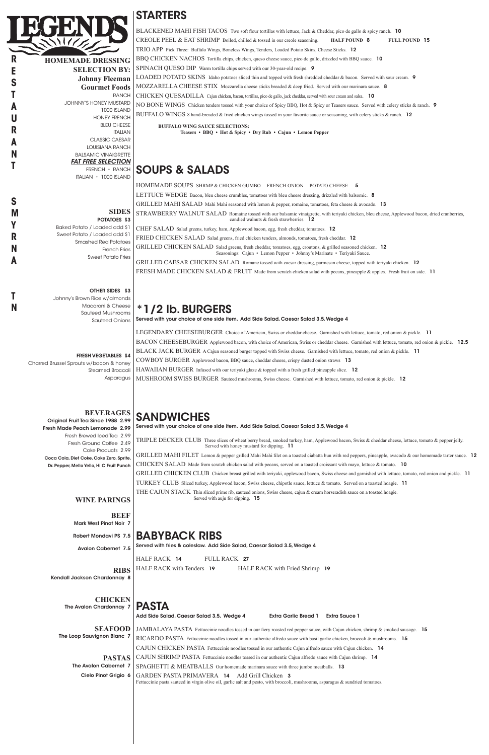**HOMEMADE DRESSING SELECTION BY: Johnny Fleeman Gourmet Foods** RANCH JOHNNY'S HONEY MUSTARD 1000 ISLAND HONEY FRENCH BLEU CHEESE ITALIAN CLASSIC CAESAR LOUISIANA RANCH BALSAMIC VINAIGRETTE *FAT FREE SELECTION* FRENCH • RANCH ITALIAN • 1000 ISLAND

#### **SIDES** POTATOES \$3

Steamed Broccoli **Asparagus** 

Baked Potato / Loaded add \$1 Sweet Potato / Loaded add \$1 Smashed Red Potatoes French Fries Sweet Potato Fries

#### OTHER SIDES \$3

Johnny's Brown Rice w/almonds Macaroni & Cheese Sauteed Mushrooms Sauteed Onions

FRESH VEGETABLES \$4

Charred Brussel Sprouts w/bacon & honey

#### **BEVERAGES**

Original Fruit Tea Since 1988 2.99 Fresh Made Peach Lemonade 2.99 Fresh Brewed Iced Tea 2.99 Fresh Ground Coffee 2.49 Coke Products 2.99 Coca Cola, Diet Coke, Coke Zero, Sprite, Dr. Pepper, Mello Yello, Hi C Fruit Punch

#### **WINE PARINGS**

**BEEF** Mark West Pinot Noir 7

Avalon Cabernet 7.5

### STARTERS

BLACKENED MAHI FISH TACOS Two soft flour tortillas with lettuce, Jack & Cheddar, pico de gallo & spicy ranch. 10 CREOLE PEEL & EAT SHRIMP Boiled, chilled & tossed in our creole seasoning. **HALF POUND** 8 **FULL POUND** 15 TRIO APP Pick Three: Buffalo Wings, Boneless Wings, Tenders, Loaded Potato Skins, Cheese Sticks. 12 BBQ CHICKEN NACHOS Tortilla chips, chicken, queso cheese sauce, pico de gallo, drizzled with BBQ sauce. 10 SPINACH OUESO DIP Warm tortilla chips served with our 30-year-old recipe. 9 LOADED POTATO SKINS Idaho potatoes sliced thin and topped with fresh shredded cheddar & bacon. Served with sour cream. 9 MOZZARELLA CHEESE STIX Mozzarella cheese sticks breaded & deep fried. Served with our marinara sauce. 8 CHICKEN QUESADILLA Cajun chicken, bacon, tortillas, pico de gallo, jack cheddar, served with sour cream and salsa. 10 NO BONE WINGS Chicken tenders tossed with your choice of Spicy BBQ, Hot & Spicy or Teasers sauce. Served with celery sticks & ranch. 9 BUFFALO WINGS 8 hand-breaded & fried chicken wings tossed in your favorite sauce or seasoning, with celery sticks & ranch. 12

TRIPLE DECKER CLUB Three slices of wheat berry bread, smoked turkey, ham, Applewood bacon, Swiss & cheddar cheese, lettuce, tomato & pepper jelly. Served with honey mustard for dipping. 11 GRILLED MAHI FILET Lemon & pepper grilled Mahi Mahi filet on a toasted ciabatta bun with red peppers, pineapple, avacodo & our homemade tarter sauce. 12

**BUFFALO WING SAUCE SELECTIONS: Teasers • BBQ • Hot & Spicy • Dry Rub • Cajun • Lemon Pepper**

# SOUPS & SALADS

HOMEMADE SOUPS SHRMP & CHICKEN GUMBO FRENCH ONION POTATO CHEESE 5 LETTUCE WEDGE Bacon, bleu cheese crumbles, tomatoes with bleu cheese dressing, drizzled with balsomic. 8 GRILLED MAHI SALAD Mahi Mahi seasoned with lemon & pepper, romaine, tomatoes, feta cheese & avocado. 13 STRAWBERRY WALNUT SALAD Romaine tossed with our balsamic vinaigrette, with teriyaki chicken, bleu cheese, Applewood bacon, dried cranberries, candied walnuts & fresh strawberries. 12 CHEF SALAD Salad greens, turkey, ham, Applewood bacon, egg, fresh cheddar, tomatoes. 12 FRIED CHICKEN SALAD Salad greens, fried chicken tenders, almonds, tomatoes, fresh cheddar. 12 GRILLED CHICKEN SALAD Salad greens, fresh cheddar, tomatoes, egg, croutons, & grilled seasoned chicken. 12 Seasonings: Cajun • Lemon Pepper • Johnny's Marinate • Teriyaki Sauce. GRILLED CAESAR CHICKEN SALAD Romane tossed with caesar dressing, parmesan cheese, topped with teriyaki chicken. 12

FRESH MADE CHICKEN SALAD & FRUIT Made from scratch chicken salad with pecans, pineapple & apples. Fresh fruit on side. 11

#### Robert Mondavi PS 7.5 BABYBACK RIBS

### \*1/2 lb. BURGERS

Served with your choice of one side item. Add Side Salad, Caesar Salad 3.5, Wedge 4

|                              | HALF RACK 14<br>FULL RACK 27                                                                                                      |  |  |
|------------------------------|-----------------------------------------------------------------------------------------------------------------------------------|--|--|
| <b>RIBS</b>                  | HALF RACK with Tenders 19<br>HALF RACK with Fried Shrimp 19                                                                       |  |  |
| Kendall Jackson Chardonnay 8 |                                                                                                                                   |  |  |
|                              |                                                                                                                                   |  |  |
| <b>CHICKEN</b>               |                                                                                                                                   |  |  |
| The Avalon Chardonnay 7      | <b>PASTA</b>                                                                                                                      |  |  |
|                              | Add Side Salad, Caesar Salad 3.5, Wedge 4<br><b>Extra Garlic Bread 1</b><br><b>Extra Sauce 1</b>                                  |  |  |
| <b>SEAFOOD</b>               | JAMBALAYA PASTA Fettuccinie noodles tossed in our fiery roasted red pepper sauce, with Cajun chicken, shrimp & smoked sausage. 15 |  |  |
| The Loop Sauvignon Blanc 7   | RICARDO PASTA Fettuccinie noodles tossed in our authentic alfredo sauce with basil garlic chicken, broccoli & mushrooms. 15       |  |  |
|                              | CAJUN CHICKEN PASTA Fettuccinie noodles tossed in our authentic Cajun alfredo sauce with Cajun chicken. 14                        |  |  |
| <b>PASTAS</b>                | CAJUN SHRIMP PASTA Fettuccinie noodles tossed in our authentic Cajun alfredo sauce with Cajun shrimp. 14                          |  |  |
| The Avalon Cabernet 7        | <b>SPAGHETTI &amp; MEATBALLS</b> Our homemade marinara sauce with three jumbo meatballs. 13                                       |  |  |
| Cielo Pinot Grigio 6         | <b>GARDEN PASTA PRIMAVERA 14</b><br>Add Grill Chicken 3                                                                           |  |  |
|                              | Fettuccinie pasta sauteed in virgin olive oil, garlic salt and pesto, with broccoli, mushrooms, asparagus $\&$ sundried tomatoes. |  |  |
|                              |                                                                                                                                   |  |  |
|                              |                                                                                                                                   |  |  |
|                              |                                                                                                                                   |  |  |
|                              |                                                                                                                                   |  |  |
|                              |                                                                                                                                   |  |  |
|                              |                                                                                                                                   |  |  |

LEGENDARY CHEESEBURGER Choice of American, Swiss or cheddar cheese. Garnished with lettuce, tomato, red onion & pickle. 11 BACON CHEESEBURGER Applewood bacon, with choice of American, Swiss or cheddar cheese. Garnished with lettuce, tomato, red onion & pickle. 12.5 BLACK JACK BURGER A Cajun seasoned burger topped with Swiss cheese. Garnished with lettuce, tomato, red onion & pickle. 11 COWBOY BURGER Applewood bacon, BBQ sauce, cheddar cheese, crispy dusted onion straws 13 HAWAIIAN BURGER Infused with our teriyaki glaze & topped with a fresh grilled pineapple slice. 12 MUSHROOM SWISS BURGER Sauteed mushrooms, Swiss cheese. Garnished with lettuce, tomato, red onion & pickle. 12

# SANDWICHES

Served with your choice of one side item. Add Side Salad, Caesar Salad 3.5, Wedge 4

CHICKEN SALAD Made from scratch chicken salad with pecans, served on a toasted croissant with mayo, lettuce & tomato. 10

GRILLED CHICKEN CLUB Chicken breast grilled with teriyaki, applewood bacon, Swiss cheese and garnished with lettuce, tomato, red onion and pickle. 11

TURKEY CLUB Sliced turkey, Applewood bacon, Swiss cheese, chipotle sauce, lettuce & tomato. Served on a toasted hoagie. 11

THE CAJUN STACK Thin sliced prime rib, sauteed onions, Swiss cheese, cajun & cream horseradish sauce on a toasted hoagie. Served with auju for dipping. 15

Served with fries & coleslaw. Add Side Salad, Caesar Salad 3.5, Wedge 4



**R E S**

**T A U R**

**A N T**

**S M**

> **Y R N A**

> **T N**